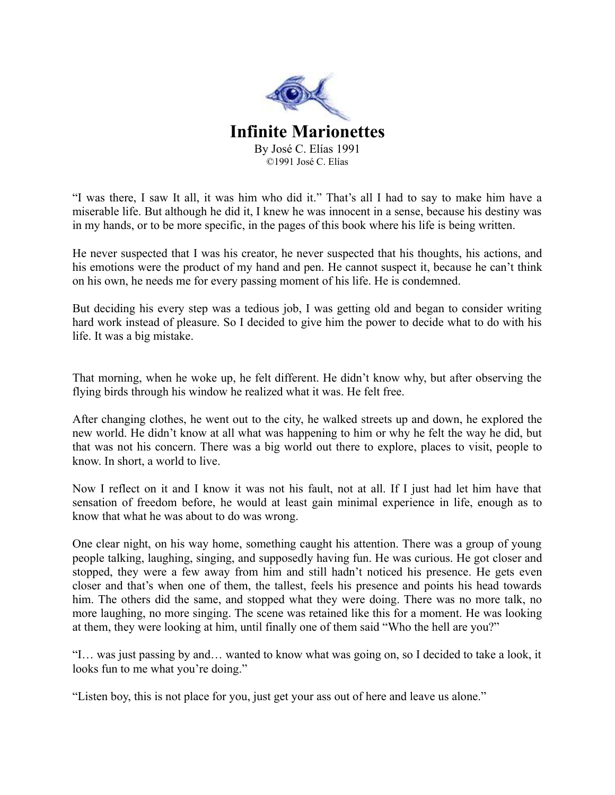

"I was there, I saw It all, it was him who did it." That's all I had to say to make him have a miserable life. But although he did it, I knew he was innocent in a sense, because his destiny was in my hands, or to be more specific, in the pages of this book where his life is being written.

He never suspected that I was his creator, he never suspected that his thoughts, his actions, and his emotions were the product of my hand and pen. He cannot suspect it, because he can't think on his own, he needs me for every passing moment of his life. He is condemned.

But deciding his every step was a tedious job, I was getting old and began to consider writing hard work instead of pleasure. So I decided to give him the power to decide what to do with his life. It was a big mistake.

That morning, when he woke up, he felt different. He didn't know why, but after observing the flying birds through his window he realized what it was. He felt free.

After changing clothes, he went out to the city, he walked streets up and down, he explored the new world. He didn't know at all what was happening to him or why he felt the way he did, but that was not his concern. There was a big world out there to explore, places to visit, people to know. In short, a world to live.

Now I reflect on it and I know it was not his fault, not at all. If I just had let him have that sensation of freedom before, he would at least gain minimal experience in life, enough as to know that what he was about to do was wrong.

One clear night, on his way home, something caught his attention. There was a group of young people talking, laughing, singing, and supposedly having fun. He was curious. He got closer and stopped, they were a few away from him and still hadn't noticed his presence. He gets even closer and that's when one of them, the tallest, feels his presence and points his head towards him. The others did the same, and stopped what they were doing. There was no more talk, no more laughing, no more singing. The scene was retained like this for a moment. He was looking at them, they were looking at him, until finally one of them said "Who the hell are you?"

"I… was just passing by and… wanted to know what was going on, so I decided to take a look, it looks fun to me what you're doing."

"Listen boy, this is not place for you, just get your ass out of here and leave us alone."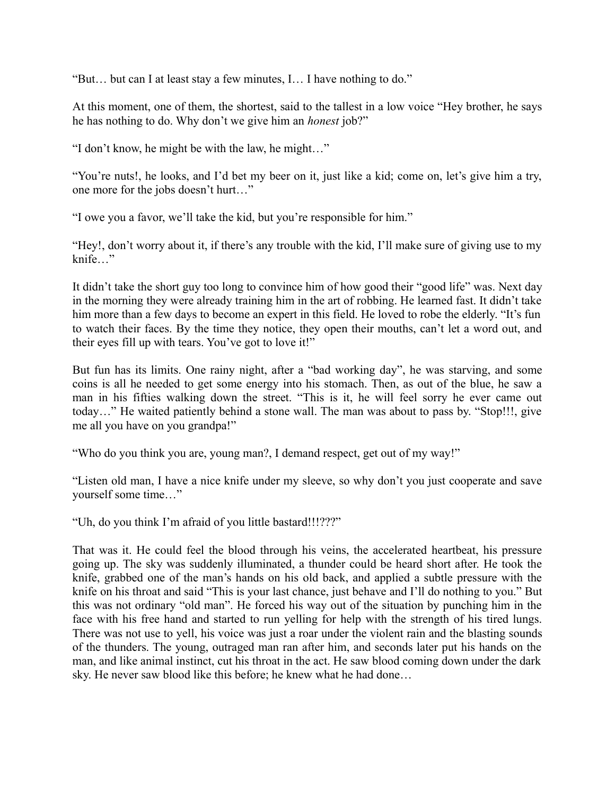"But… but can I at least stay a few minutes, I… I have nothing to do."

At this moment, one of them, the shortest, said to the tallest in a low voice "Hey brother, he says he has nothing to do. Why don't we give him an *honest* job?"

"I don't know, he might be with the law, he might…"

"You're nuts!, he looks, and I'd bet my beer on it, just like a kid; come on, let's give him a try, one more for the jobs doesn't hurt…"

"I owe you a favor, we'll take the kid, but you're responsible for him."

"Hey!, don't worry about it, if there's any trouble with the kid, I'll make sure of giving use to my knife…"

It didn't take the short guy too long to convince him of how good their "good life" was. Next day in the morning they were already training him in the art of robbing. He learned fast. It didn't take him more than a few days to become an expert in this field. He loved to robe the elderly. "It's fun to watch their faces. By the time they notice, they open their mouths, can't let a word out, and their eyes fill up with tears. You've got to love it!"

But fun has its limits. One rainy night, after a "bad working day", he was starving, and some coins is all he needed to get some energy into his stomach. Then, as out of the blue, he saw a man in his fifties walking down the street. "This is it, he will feel sorry he ever came out today…" He waited patiently behind a stone wall. The man was about to pass by. "Stop!!!, give me all you have on you grandpa!"

"Who do you think you are, young man?, I demand respect, get out of my way!"

"Listen old man, I have a nice knife under my sleeve, so why don't you just cooperate and save yourself some time…"

"Uh, do you think I'm afraid of you little bastard!!!???"

That was it. He could feel the blood through his veins, the accelerated heartbeat, his pressure going up. The sky was suddenly illuminated, a thunder could be heard short after. He took the knife, grabbed one of the man's hands on his old back, and applied a subtle pressure with the knife on his throat and said "This is your last chance, just behave and I'll do nothing to you." But this was not ordinary "old man". He forced his way out of the situation by punching him in the face with his free hand and started to run yelling for help with the strength of his tired lungs. There was not use to yell, his voice was just a roar under the violent rain and the blasting sounds of the thunders. The young, outraged man ran after him, and seconds later put his hands on the man, and like animal instinct, cut his throat in the act. He saw blood coming down under the dark sky. He never saw blood like this before; he knew what he had done…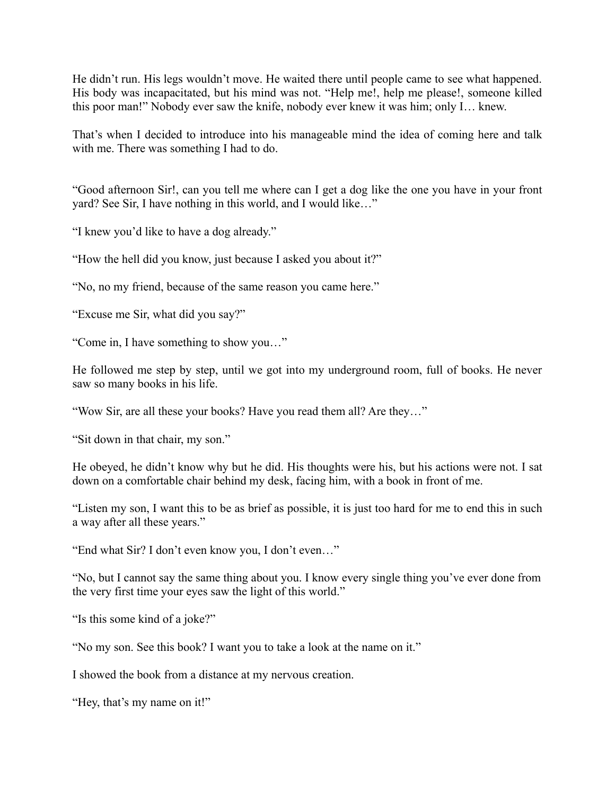He didn't run. His legs wouldn't move. He waited there until people came to see what happened. His body was incapacitated, but his mind was not. "Help me!, help me please!, someone killed this poor man!" Nobody ever saw the knife, nobody ever knew it was him; only I… knew.

That's when I decided to introduce into his manageable mind the idea of coming here and talk with me. There was something I had to do.

"Good afternoon Sir!, can you tell me where can I get a dog like the one you have in your front yard? See Sir, I have nothing in this world, and I would like…"

"I knew you'd like to have a dog already."

"How the hell did you know, just because I asked you about it?"

"No, no my friend, because of the same reason you came here."

"Excuse me Sir, what did you say?"

"Come in, I have something to show you…"

He followed me step by step, until we got into my underground room, full of books. He never saw so many books in his life.

"Wow Sir, are all these your books? Have you read them all? Are they…"

"Sit down in that chair, my son."

He obeyed, he didn't know why but he did. His thoughts were his, but his actions were not. I sat down on a comfortable chair behind my desk, facing him, with a book in front of me.

"Listen my son, I want this to be as brief as possible, it is just too hard for me to end this in such a way after all these years."

"End what Sir? I don't even know you, I don't even…"

"No, but I cannot say the same thing about you. I know every single thing you've ever done from the very first time your eyes saw the light of this world."

"Is this some kind of a joke?"

"No my son. See this book? I want you to take a look at the name on it."

I showed the book from a distance at my nervous creation.

"Hey, that's my name on it!"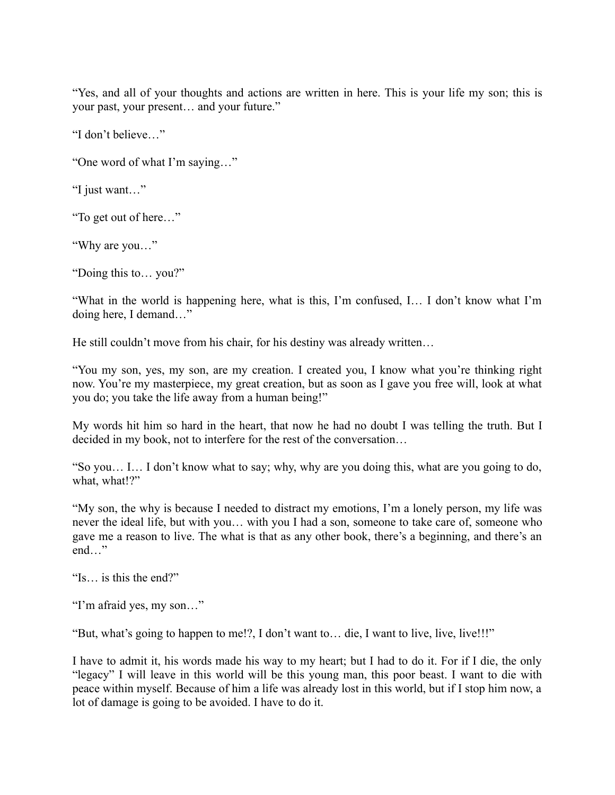"Yes, and all of your thoughts and actions are written in here. This is your life my son; this is your past, your present… and your future."

"I don't believe…"

"One word of what I'm saying…"

"I just want…"

"To get out of here…"

"Why are you…"

"Doing this to… you?"

"What in the world is happening here, what is this, I'm confused, I… I don't know what I'm doing here, I demand…"

He still couldn't move from his chair, for his destiny was already written…

"You my son, yes, my son, are my creation. I created you, I know what you're thinking right now. You're my masterpiece, my great creation, but as soon as I gave you free will, look at what you do; you take the life away from a human being!"

My words hit him so hard in the heart, that now he had no doubt I was telling the truth. But I decided in my book, not to interfere for the rest of the conversation…

"So you… I… I don't know what to say; why, why are you doing this, what are you going to do, what, what!?"

"My son, the why is because I needed to distract my emotions, I'm a lonely person, my life was never the ideal life, but with you… with you I had a son, someone to take care of, someone who gave me a reason to live. The what is that as any other book, there's a beginning, and there's an end…"

"Is… is this the end?"

"I'm afraid yes, my son…"

"But, what's going to happen to me!?, I don't want to… die, I want to live, live, live!!!"

I have to admit it, his words made his way to my heart; but I had to do it. For if I die, the only "legacy" I will leave in this world will be this young man, this poor beast. I want to die with peace within myself. Because of him a life was already lost in this world, but if I stop him now, a lot of damage is going to be avoided. I have to do it.